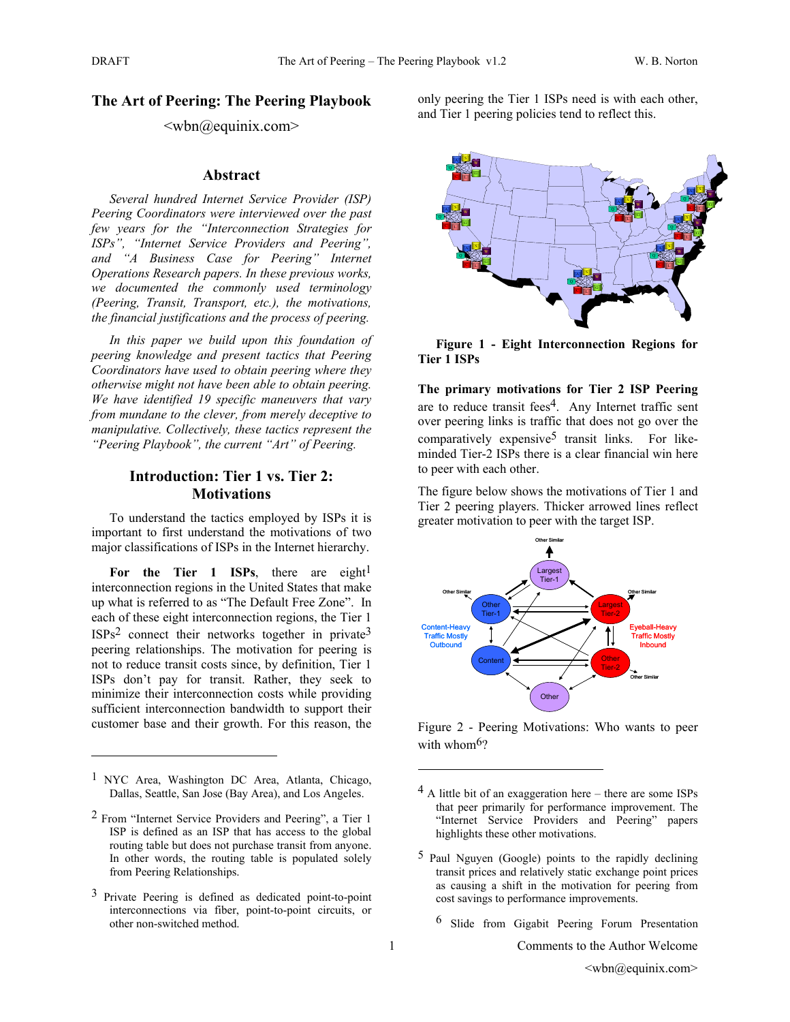## **The Art of Peering: The Peering Playbook**

## $\langle \text{wbn}(\omega) \rangle$ equinix.com

#### **Abstract**

*Several hundred Internet Service Provider (ISP) Peering Coordinators were interviewed over the past few years for the "Interconnection Strategies for ISPs", "Internet Service Providers and Peering", and "A Business Case for Peering" Internet Operations Research papers. In these previous works, we documented the commonly used terminology (Peering, Transit, Transport, etc.), the motivations, the financial justifications and the process of peering.* 

*In this paper we build upon this foundation of peering knowledge and present tactics that Peering Coordinators have used to obtain peering where they otherwise might not have been able to obtain peering. We have identified 19 specific maneuvers that vary from mundane to the clever, from merely deceptive to manipulative. Collectively, these tactics represent the "Peering Playbook", the current "Art" of Peering.*

## **Introduction: Tier 1 vs. Tier 2: Motivations**

To understand the tactics employed by ISPs it is important to first understand the motivations of two major classifications of ISPs in the Internet hierarchy.

For the Tier 1 ISPs, there are eight<sup>1</sup> interconnection regions in the United States that make up what is referred to as "The Default Free Zone". In each of these eight interconnection regions, the Tier 1  $ISPs<sup>2</sup>$  connect their networks together in private<sup>3</sup> peering relationships. The motivation for peering is not to reduce transit costs since, by definition, Tier 1 ISPs don't pay for transit. Rather, they seek to minimize their interconnection costs while providing sufficient interconnection bandwidth to support their customer base and their growth. For this reason, the

 $\overline{a}$ 

only peering the Tier 1 ISPs need is with each other, and Tier 1 peering policies tend to reflect this.



**Figure 1 - Eight Interconnection Regions for Tier 1 ISPs** 

**The primary motivations for Tier 2 ISP Peering**  are to reduce transit fees<sup>4</sup>. Any Internet traffic sent over peering links is traffic that does not go over the comparatively expensive<sup>5</sup> transit links. For likeminded Tier-2 ISPs there is a clear financial win here to peer with each other.

The figure below shows the motivations of Tier 1 and Tier 2 peering players. Thicker arrowed lines reflect greater motivation to peer with the target ISP.



Figure 2 - Peering Motivations: Who wants to peer with whom<sup>6</sup>?

6 Slide from Gigabit Peering Forum Presentation

1 Comments to the Author Welcome

<sup>1</sup> NYC Area, Washington DC Area, Atlanta, Chicago, Dallas, Seattle, San Jose (Bay Area), and Los Angeles.

<sup>2</sup> From "Internet Service Providers and Peering", a Tier 1 ISP is defined as an ISP that has access to the global routing table but does not purchase transit from anyone. In other words, the routing table is populated solely from Peering Relationships.

<sup>3</sup> Private Peering is defined as dedicated point-to-point interconnections via fiber, point-to-point circuits, or other non-switched method.

 $4$  A little bit of an exaggeration here – there are some ISPs that peer primarily for performance improvement. The "Internet Service Providers and Peering" papers highlights these other motivations.

<sup>5</sup> Paul Nguyen (Google) points to the rapidly declining transit prices and relatively static exchange point prices as causing a shift in the motivation for peering from cost savings to performance improvements.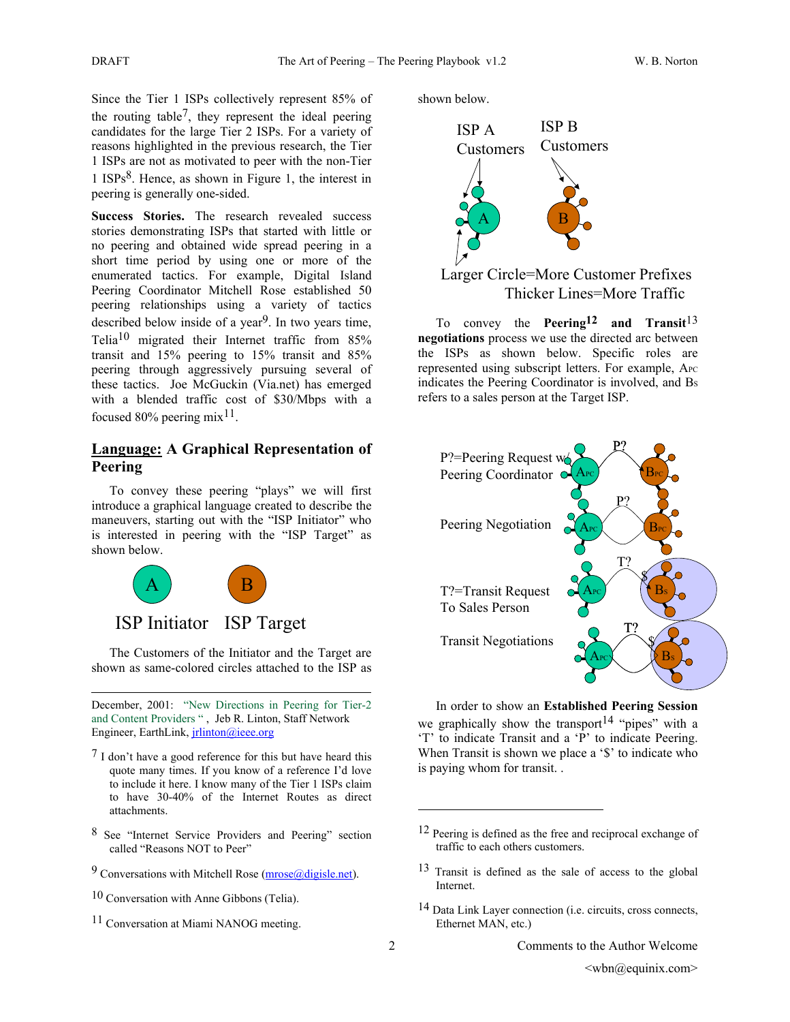Since the Tier 1 ISPs collectively represent 85% of the routing table7, they represent the ideal peering candidates for the large Tier 2 ISPs. For a variety of reasons highlighted in the previous research, the Tier 1 ISPs are not as motivated to peer with the non-Tier 1 ISPs8. Hence, as shown in Figure 1, the interest in peering is generally one-sided.

**Success Stories.** The research revealed success stories demonstrating ISPs that started with little or no peering and obtained wide spread peering in a short time period by using one or more of the enumerated tactics. For example, Digital Island Peering Coordinator Mitchell Rose established 50 peering relationships using a variety of tactics described below inside of a year<sup>9</sup>. In two years time, Telia10 migrated their Internet traffic from 85% transit and 15% peering to 15% transit and 85% peering through aggressively pursuing several of these tactics. Joe McGuckin (Via.net) has emerged with a blended traffic cost of \$30/Mbps with a focused 80% peering mix<sup>11</sup>.

## **Language: A Graphical Representation of Peering**

To convey these peering "plays" we will first introduce a graphical language created to describe the maneuvers, starting out with the "ISP Initiator" who is interested in peering with the "ISP Target" as shown below.



l

The Customers of the Initiator and the Target are shown as same-colored circles attached to the ISP as

December, 2001: "New Directions in Peering for Tier-2 and Content Providers " , Jeb R. Linton, Staff Network Engineer, EarthLink, *jrlinton@ieee.org* 

- $<sup>7</sup>$  I don't have a good reference for this but have heard this</sup> quote many times. If you know of a reference I'd love to include it here. I know many of the Tier 1 ISPs claim to have 30-40% of the Internet Routes as direct attachments.
- 8 See "Internet Service Providers and Peering" section called "Reasons NOT to Peer"
- 9 Conversations with Mitchell Rose (mrose@digisle.net).
- 10 Conversation with Anne Gibbons (Telia).
- 11 Conversation at Miami NANOG meeting.

shown below.



# Larger Circle=More Customer Prefixes Thicker Lines=More Traffic

To convey the **Peering12 and Transit**13 **negotiations** process we use the directed arc between the ISPs as shown below. Specific roles are represented using subscript letters. For example, APC indicates the Peering Coordinator is involved, and Bs refers to a sales person at the Target ISP.



In order to show an **Established Peering Session**  we graphically show the transport<sup>14</sup> "pipes" with a 'T' to indicate Transit and a 'P' to indicate Peering. When Transit is shown we place a '\$' to indicate who is paying whom for transit. .

<sup>12</sup> Peering is defined as the free and reciprocal exchange of traffic to each others customers.

<sup>13</sup> Transit is defined as the sale of access to the global Internet.

<sup>14</sup> Data Link Layer connection (i.e. circuits, cross connects, Ethernet MAN, etc.)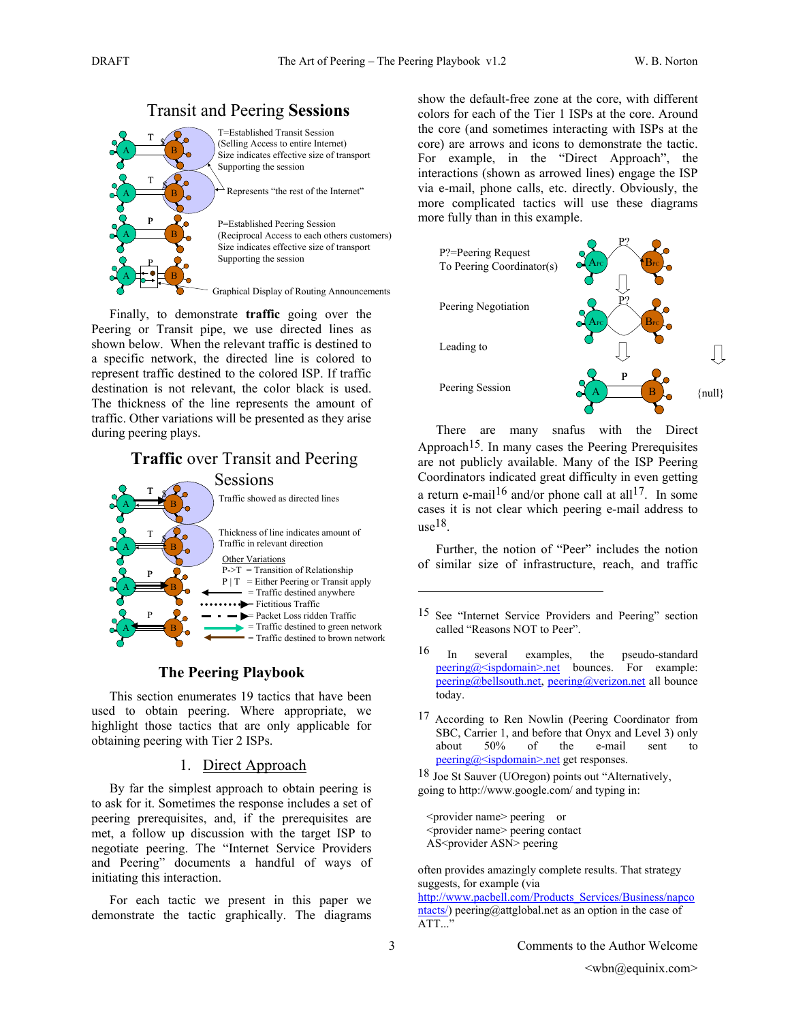

Finally, to demonstrate **traffic** going over the Peering or Transit pipe, we use directed lines as shown below. When the relevant traffic is destined to a specific network, the directed line is colored to represent traffic destined to the colored ISP. If traffic destination is not relevant, the color black is used. The thickness of the line represents the amount of traffic. Other variations will be presented as they arise during peering plays.

# **Traffic** over Transit and Peering



## **The Peering Playbook**

This section enumerates 19 tactics that have been used to obtain peering. Where appropriate, we highlight those tactics that are only applicable for obtaining peering with Tier 2 ISPs.

#### 1. Direct Approach

By far the simplest approach to obtain peering is to ask for it. Sometimes the response includes a set of peering prerequisites, and, if the prerequisites are met, a follow up discussion with the target ISP to negotiate peering. The "Internet Service Providers and Peering" documents a handful of ways of initiating this interaction.

For each tactic we present in this paper we demonstrate the tactic graphically. The diagrams show the default-free zone at the core, with different colors for each of the Tier 1 ISPs at the core. Around the core (and sometimes interacting with ISPs at the core) are arrows and icons to demonstrate the tactic. For example, in the "Direct Approach", the interactions (shown as arrowed lines) engage the ISP via e-mail, phone calls, etc. directly. Obviously, the more complicated tactics will use these diagrams more fully than in this example.



There are many snafus with the Direct Approach<sup>15</sup>. In many cases the Peering Prerequisites are not publicly available. Many of the ISP Peering Coordinators indicated great difficulty in even getting a return e-mail<sup>16</sup> and/or phone call at all<sup>17</sup>. In some cases it is not clear which peering e-mail address to  $use<sup>18</sup>$ .

Further, the notion of "Peer" includes the notion of similar size of infrastructure, reach, and traffic

- <sup>15</sup> See "Internet Service Providers and Peering" section called "Reasons NOT to Peer".
- 16 In several examples, the pseudo-standard  $\frac{\text{pering}(a)}{\text{sigmoid}}$  ispdomain>.net bounces. For example: peering@bellsouth.net, peering@verizon.net all bounce today.
- 17 According to Ren Nowlin (Peering Coordinator from SBC, Carrier 1, and before that Onyx and Level 3) only about 50% of the e-mail sent to peering@<ispdomain>.net get responses.

18 Joe St Sauver (UOregon) points out "Alternatively, going to http://www.google.com/ and typing in:

 <provider name> peering or <provider name> peering contact AS<provider ASN> peering

often provides amazingly complete results. That strategy suggests, for example (via

http://www.pacbell.com/Products\_Services/Business/napco ntacts/) peering@attglobal.net as an option in the case of ATT...'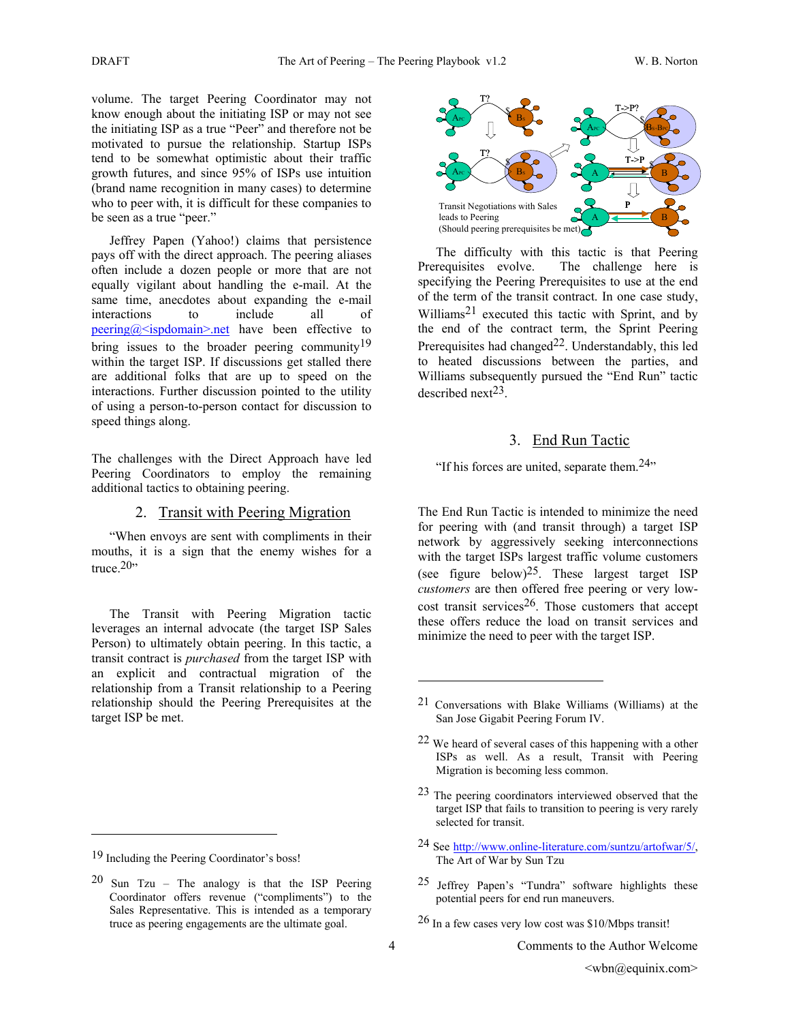volume. The target Peering Coordinator may not know enough about the initiating ISP or may not see the initiating ISP as a true "Peer" and therefore not be motivated to pursue the relationship. Startup ISPs tend to be somewhat optimistic about their traffic growth futures, and since 95% of ISPs use intuition (brand name recognition in many cases) to determine who to peer with, it is difficult for these companies to be seen as a true "peer."

Jeffrey Papen (Yahoo!) claims that persistence pays off with the direct approach. The peering aliases often include a dozen people or more that are not equally vigilant about handling the e-mail. At the same time, anecdotes about expanding the e-mail interactions to include all of peering@<ispdomain>.net have been effective to bring issues to the broader peering community<sup>19</sup> within the target ISP. If discussions get stalled there are additional folks that are up to speed on the interactions. Further discussion pointed to the utility of using a person-to-person contact for discussion to speed things along.

The challenges with the Direct Approach have led Peering Coordinators to employ the remaining additional tactics to obtaining peering.

#### 2. Transit with Peering Migration

"When envoys are sent with compliments in their mouths, it is a sign that the enemy wishes for a truce. $20$ "

The Transit with Peering Migration tactic leverages an internal advocate (the target ISP Sales Person) to ultimately obtain peering. In this tactic, a transit contract is *purchased* from the target ISP with an explicit and contractual migration of the relationship from a Transit relationship to a Peering relationship should the Peering Prerequisites at the target ISP be met.

 $\overline{a}$ 



The difficulty with this tactic is that Peering Prerequisites evolve. The challenge here is specifying the Peering Prerequisites to use at the end of the term of the transit contract. In one case study, Williams21 executed this tactic with Sprint, and by the end of the contract term, the Sprint Peering Prerequisites had changed $^{22}$ . Understandably, this led to heated discussions between the parties, and Williams subsequently pursued the "End Run" tactic described next<sup>23</sup>

## 3. End Run Tactic

"If his forces are united, separate them. $24$ "

The End Run Tactic is intended to minimize the need for peering with (and transit through) a target ISP network by aggressively seeking interconnections with the target ISPs largest traffic volume customers (see figure below)<sup>25</sup>. These largest target ISP *customers* are then offered free peering or very lowcost transit services<sup>26</sup>. Those customers that accept these offers reduce the load on transit services and minimize the need to peer with the target ISP.

- 23 The peering coordinators interviewed observed that the target ISP that fails to transition to peering is very rarely selected for transit.
- 24 See http://www.online-literature.com/suntzu/artofwar/5/, The Art of War by Sun Tzu
- 25 Jeffrey Papen's "Tundra" software highlights these potential peers for end run maneuvers.
- 26 In a few cases very low cost was \$10/Mbps transit!

<sup>19</sup> Including the Peering Coordinator's boss!

 $20$  Sun Tzu – The analogy is that the ISP Peering Coordinator offers revenue ("compliments") to the Sales Representative. This is intended as a temporary truce as peering engagements are the ultimate goal.

<sup>21</sup> Conversations with Blake Williams (Williams) at the San Jose Gigabit Peering Forum IV.

<sup>22</sup> We heard of several cases of this happening with a other ISPs as well. As a result, Transit with Peering Migration is becoming less common.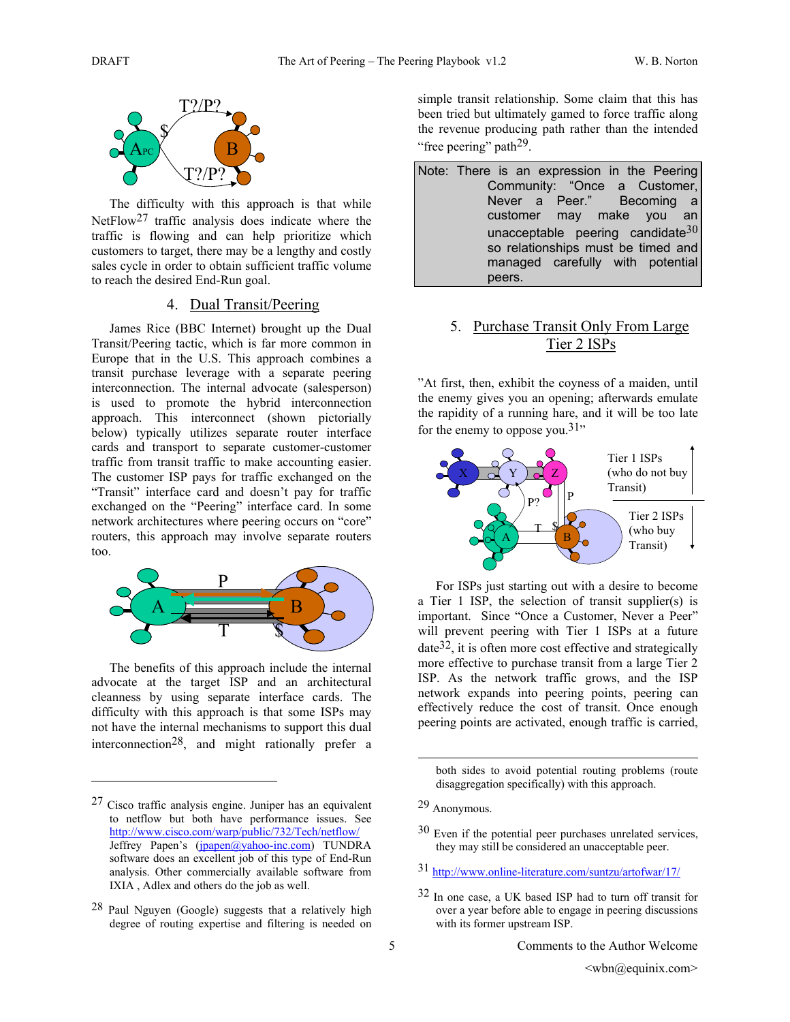

The difficulty with this approach is that while NetFlow<sup>27</sup> traffic analysis does indicate where the traffic is flowing and can help prioritize which customers to target, there may be a lengthy and costly sales cycle in order to obtain sufficient traffic volume to reach the desired End-Run goal.

## 4. Dual Transit/Peering

James Rice (BBC Internet) brought up the Dual Transit/Peering tactic, which is far more common in Europe that in the U.S. This approach combines a transit purchase leverage with a separate peering interconnection. The internal advocate (salesperson) is used to promote the hybrid interconnection approach. This interconnect (shown pictorially below) typically utilizes separate router interface cards and transport to separate customer-customer traffic from transit traffic to make accounting easier. The customer ISP pays for traffic exchanged on the "Transit" interface card and doesn't pay for traffic exchanged on the "Peering" interface card. In some network architectures where peering occurs on "core" routers, this approach may involve separate routers too.



The benefits of this approach include the internal advocate at the target ISP and an architectural cleanness by using separate interface cards. The difficulty with this approach is that some ISPs may not have the internal mechanisms to support this dual interconnection28, and might rationally prefer a

 $\overline{a}$ 

simple transit relationship. Some claim that this has been tried but ultimately gamed to force traffic along the revenue producing path rather than the intended "free peering" path<sup>29</sup>.

Note: There is an expression in the Peering Community: "Once a Customer, Never a Peer." Becoming a customer may make you an unacceptable peering candidate  $30$ so relationships must be timed and managed carefully with potential peers.

# 5. Purchase Transit Only From Large Tier 2 ISPs

"At first, then, exhibit the coyness of a maiden, until the enemy gives you an opening; afterwards emulate the rapidity of a running hare, and it will be too late for the enemy to oppose you.<sup>31</sup>"



For ISPs just starting out with a desire to become a Tier 1 ISP, the selection of transit supplier(s) is important. Since "Once a Customer, Never a Peer" will prevent peering with Tier 1 ISPs at a future  $date^{32}$ , it is often more cost effective and strategically more effective to purchase transit from a large Tier 2 ISP. As the network traffic grows, and the ISP network expands into peering points, peering can effectively reduce the cost of transit. Once enough peering points are activated, enough traffic is carried,

both sides to avoid potential routing problems (route disaggregation specifically) with this approach.

- 30 Even if the potential peer purchases unrelated services, they may still be considered an unacceptable peer.
- 31 http://www.online-literature.com/suntzu/artofwar/17/
- 32 In one case, a UK based ISP had to turn off transit for over a year before able to engage in peering discussions with its former upstream ISP.

<sup>27</sup> Cisco traffic analysis engine. Juniper has an equivalent to netflow but both have performance issues. See http://www.cisco.com/warp/public/732/Tech/netflow/ Jeffrey Papen's (jpapen@yahoo-inc.com) TUNDRA software does an excellent job of this type of End-Run analysis. Other commercially available software from IXIA , Adlex and others do the job as well.

<sup>28</sup> Paul Nguyen (Google) suggests that a relatively high degree of routing expertise and filtering is needed on

<sup>29</sup> Anonymous.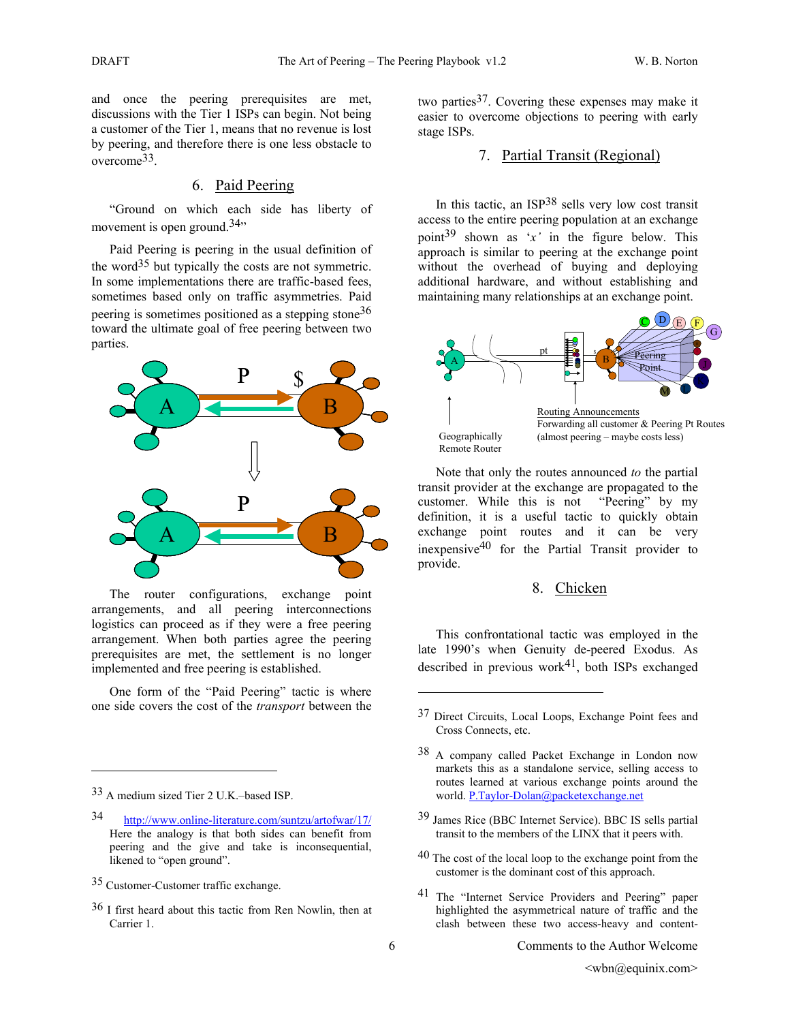and once the peering prerequisites are met, discussions with the Tier 1 ISPs can begin. Not being a customer of the Tier 1, means that no revenue is lost by peering, and therefore there is one less obstacle to overcome33.

## 6. Paid Peering

"Ground on which each side has liberty of movement is open ground. $34$ <sup>"</sup>

Paid Peering is peering in the usual definition of the word<sup>35</sup> but typically the costs are not symmetric. In some implementations there are traffic-based fees, sometimes based only on traffic asymmetries. Paid peering is sometimes positioned as a stepping stone36 toward the ultimate goal of free peering between two parties.



The router configurations, exchange point arrangements, and all peering interconnections logistics can proceed as if they were a free peering arrangement. When both parties agree the peering prerequisites are met, the settlement is no longer implemented and free peering is established.

One form of the "Paid Peering" tactic is where one side covers the cost of the *transport* between the

 $\overline{a}$ 

two parties37. Covering these expenses may make it easier to overcome objections to peering with early stage ISPs.

## 7. Partial Transit (Regional)

In this tactic, an ISP38 sells very low cost transit access to the entire peering population at an exchange point<sup>39</sup> shown as 'x' in the figure below. This approach is similar to peering at the exchange point without the overhead of buying and deploying additional hardware, and without establishing and maintaining many relationships at an exchange point.



Note that only the routes announced *to* the partial transit provider at the exchange are propagated to the customer. While this is not "Peering" by my definition, it is a useful tactic to quickly obtain exchange point routes and it can be very inexpensive40 for the Partial Transit provider to provide.

#### 8. Chicken

This confrontational tactic was employed in the late 1990's when Genuity de-peered Exodus. As described in previous work $41$ , both ISPs exchanged

- 39 James Rice (BBC Internet Service). BBC IS sells partial transit to the members of the LINX that it peers with.
- <sup>40</sup> The cost of the local loop to the exchange point from the customer is the dominant cost of this approach.
- 41 The "Internet Service Providers and Peering" paper highlighted the asymmetrical nature of traffic and the clash between these two access-heavy and content-

<sup>33</sup> A medium sized Tier 2 U.K.–based ISP.

<sup>34</sup> http://www.online-literature.com/suntzu/artofwar/17/ Here the analogy is that both sides can benefit from peering and the give and take is inconsequential, likened to "open ground".

<sup>35</sup> Customer-Customer traffic exchange.

<sup>36</sup> I first heard about this tactic from Ren Nowlin, then at Carrier 1.

<sup>37</sup> Direct Circuits, Local Loops, Exchange Point fees and Cross Connects, etc.

<sup>38</sup> A company called Packet Exchange in London now markets this as a standalone service, selling access to routes learned at various exchange points around the world. P.Taylor-Dolan@packetexchange.net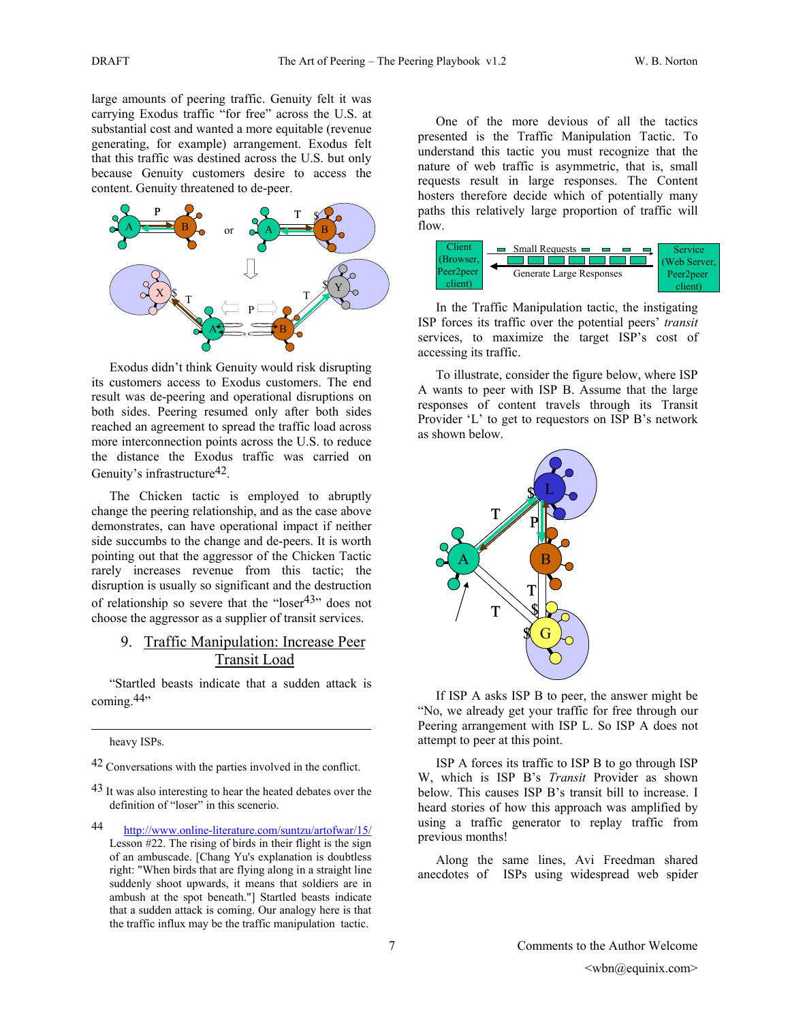large amounts of peering traffic. Genuity felt it was carrying Exodus traffic "for free" across the U.S. at substantial cost and wanted a more equitable (revenue generating, for example) arrangement. Exodus felt that this traffic was destined across the U.S. but only because Genuity customers desire to access the content. Genuity threatened to de-peer.



Exodus didn't think Genuity would risk disrupting its customers access to Exodus customers. The end result was de-peering and operational disruptions on both sides. Peering resumed only after both sides reached an agreement to spread the traffic load across more interconnection points across the U.S. to reduce the distance the Exodus traffic was carried on Genuity's infrastructure<sup>42</sup>.

The Chicken tactic is employed to abruptly change the peering relationship, and as the case above demonstrates, can have operational impact if neither side succumbs to the change and de-peers. It is worth pointing out that the aggressor of the Chicken Tactic rarely increases revenue from this tactic; the disruption is usually so significant and the destruction of relationship so severe that the "loser $43$ " does not choose the aggressor as a supplier of transit services.

## 9. Traffic Manipulation: Increase Peer Transit Load

"Startled beasts indicate that a sudden attack is coming.<sup>44</sup>"

heavy ISPs.

 $\overline{a}$ 

42 Conversations with the parties involved in the conflict.

<sup>43</sup> It was also interesting to hear the heated debates over the definition of "loser" in this scenerio.

44 http://www.online-literature.com/suntzu/artofwar/15/ Lesson #22. The rising of birds in their flight is the sign of an ambuscade. [Chang Yu's explanation is doubtless right: "When birds that are flying along in a straight line suddenly shoot upwards, it means that soldiers are in ambush at the spot beneath."] Startled beasts indicate that a sudden attack is coming. Our analogy here is that the traffic influx may be the traffic manipulation tactic.

One of the more devious of all the tactics presented is the Traffic Manipulation Tactic. To understand this tactic you must recognize that the nature of web traffic is asymmetric, that is, small requests result in large responses. The Content hosters therefore decide which of potentially many paths this relatively large proportion of traffic will flow.



In the Traffic Manipulation tactic, the instigating ISP forces its traffic over the potential peers' *transit* services, to maximize the target ISP's cost of accessing its traffic.

To illustrate, consider the figure below, where ISP A wants to peer with ISP B. Assume that the large responses of content travels through its Transit Provider 'L' to get to requestors on ISP B's network as shown below.



If ISP A asks ISP B to peer, the answer might be "No, we already get your traffic for free through our Peering arrangement with ISP L. So ISP A does not attempt to peer at this point.

ISP A forces its traffic to ISP B to go through ISP W, which is ISP B's *Transit* Provider as shown below. This causes ISP B's transit bill to increase. I heard stories of how this approach was amplified by using a traffic generator to replay traffic from previous months!

Along the same lines, Avi Freedman shared anecdotes of ISPs using widespread web spider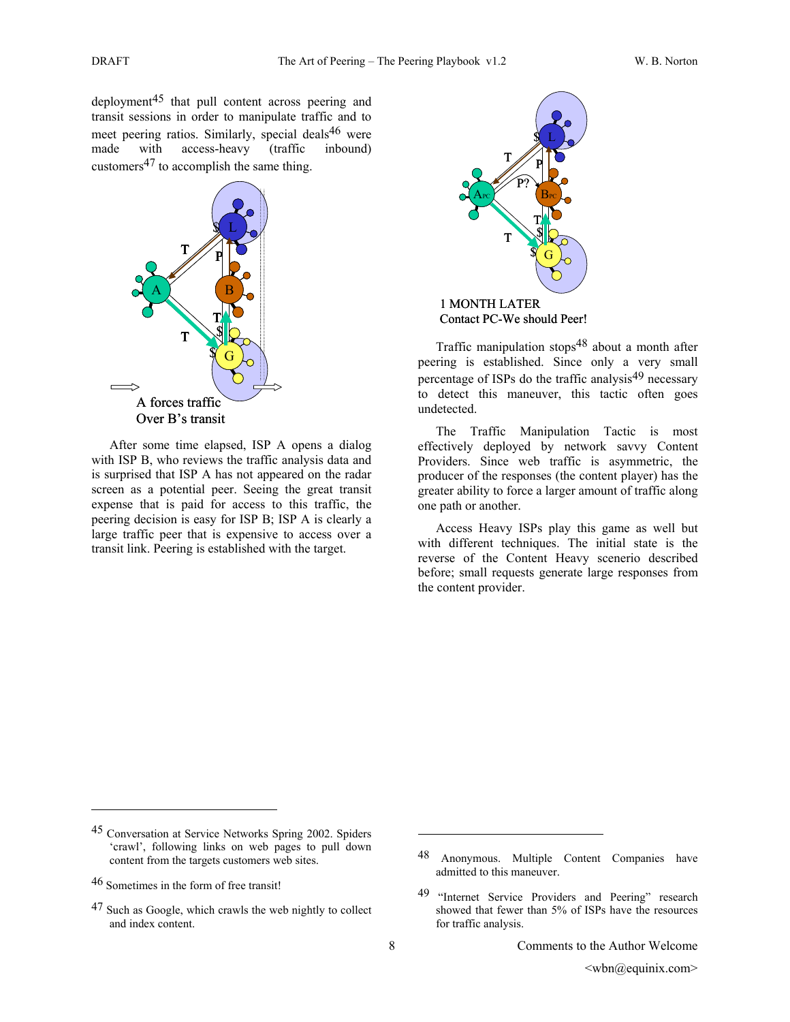deployment45 that pull content across peering and transit sessions in order to manipulate traffic and to meet peering ratios. Similarly, special deals<sup>46</sup> were made with access-heavy (traffic inbound) customers47 to accomplish the same thing.



After some time elapsed, ISP A opens a dialog with ISP B, who reviews the traffic analysis data and is surprised that ISP A has not appeared on the radar screen as a potential peer. Seeing the great transit expense that is paid for access to this traffic, the peering decision is easy for ISP B; ISP A is clearly a large traffic peer that is expensive to access over a transit link. Peering is established with the target.



Contact PC-We should Peer!

Traffic manipulation stops48 about a month after peering is established. Since only a very small percentage of ISPs do the traffic analysis $49$  necessary to detect this maneuver, this tactic often goes undetected.

The Traffic Manipulation Tactic is most effectively deployed by network savvy Content Providers. Since web traffic is asymmetric, the producer of the responses (the content player) has the greater ability to force a larger amount of traffic along one path or another.

Access Heavy ISPs play this game as well but with different techniques. The initial state is the reverse of the Content Heavy scenerio described before; small requests generate large responses from the content provider.

 $\overline{a}$ 

<sup>45</sup> Conversation at Service Networks Spring 2002. Spiders 'crawl', following links on web pages to pull down content from the targets customers web sites.

<sup>46</sup> Sometimes in the form of free transit!

<sup>&</sup>lt;sup>47</sup> Such as Google, which crawls the web nightly to collect and index content.

Anonymous. Multiple Content Companies have admitted to this maneuver.

<sup>49 &</sup>quot;Internet Service Providers and Peering" research showed that fewer than 5% of ISPs have the resources for traffic analysis.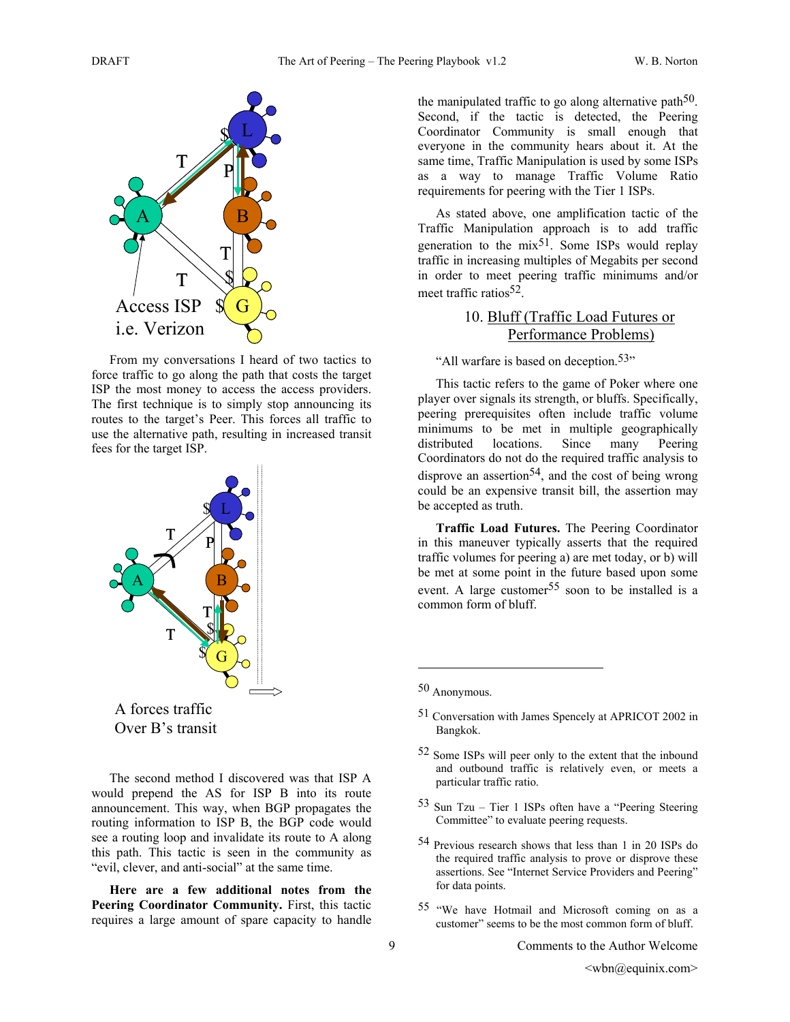

From my conversations I heard of two tactics to force traffic to go along the path that costs the target ISP the most money to access the access providers. The first technique is to simply stop announcing its routes to the target's Peer. This forces all traffic to use the alternative path, resulting in increased transit fees for the target ISP.



The second method I discovered was that ISP A would prepend the AS for ISP B into its route announcement. This way, when BGP propagates the routing information to ISP B, the BGP code would see a routing loop and invalidate its route to A along this path. This tactic is seen in the community as "evil, clever, and anti-social" at the same time.

**Here are a few additional notes from the Peering Coordinator Community.** First, this tactic requires a large amount of spare capacity to handle

the manipulated traffic to go along alternative path<sup>50</sup>. Second, if the tactic is detected, the Peering Coordinator Community is small enough that everyone in the community hears about it. At the same time, Traffic Manipulation is used by some ISPs as a way to manage Traffic Volume Ratio requirements for peering with the Tier 1 ISPs.

As stated above, one amplification tactic of the Traffic Manipulation approach is to add traffic generation to the  $mix^{51}$ . Some ISPs would replay traffic in increasing multiples of Megabits per second in order to meet peering traffic minimums and/or meet traffic ratios $52$ .

## 10. Bluff (Traffic Load Futures or Performance Problems)

"All warfare is based on deception.<sup>53</sup>"

This tactic refers to the game of Poker where one player over signals its strength, or bluffs. Specifically, peering prerequisites often include traffic volume minimums to be met in multiple geographically distributed locations. Since many Peering Coordinators do not do the required traffic analysis to disprove an assertion<sup>54</sup>, and the cost of being wrong could be an expensive transit bill, the assertion may be accepted as truth.

**Traffic Load Futures.** The Peering Coordinator in this maneuver typically asserts that the required traffic volumes for peering a) are met today, or b) will be met at some point in the future based upon some event. A large customer<sup>55</sup> soon to be installed is a common form of bluff.

50 Anonymous.

- 53 Sun Tzu Tier 1 ISPs often have a "Peering Steering Committee" to evaluate peering requests.
- 54 Previous research shows that less than 1 in 20 ISPs do the required traffic analysis to prove or disprove these assertions. See "Internet Service Providers and Peering" for data points.
- 55 "We have Hotmail and Microsoft coming on as a customer" seems to be the most common form of bluff.

<sup>51</sup> Conversation with James Spencely at APRICOT 2002 in Bangkok.

<sup>52</sup> Some ISPs will peer only to the extent that the inbound and outbound traffic is relatively even, or meets a particular traffic ratio.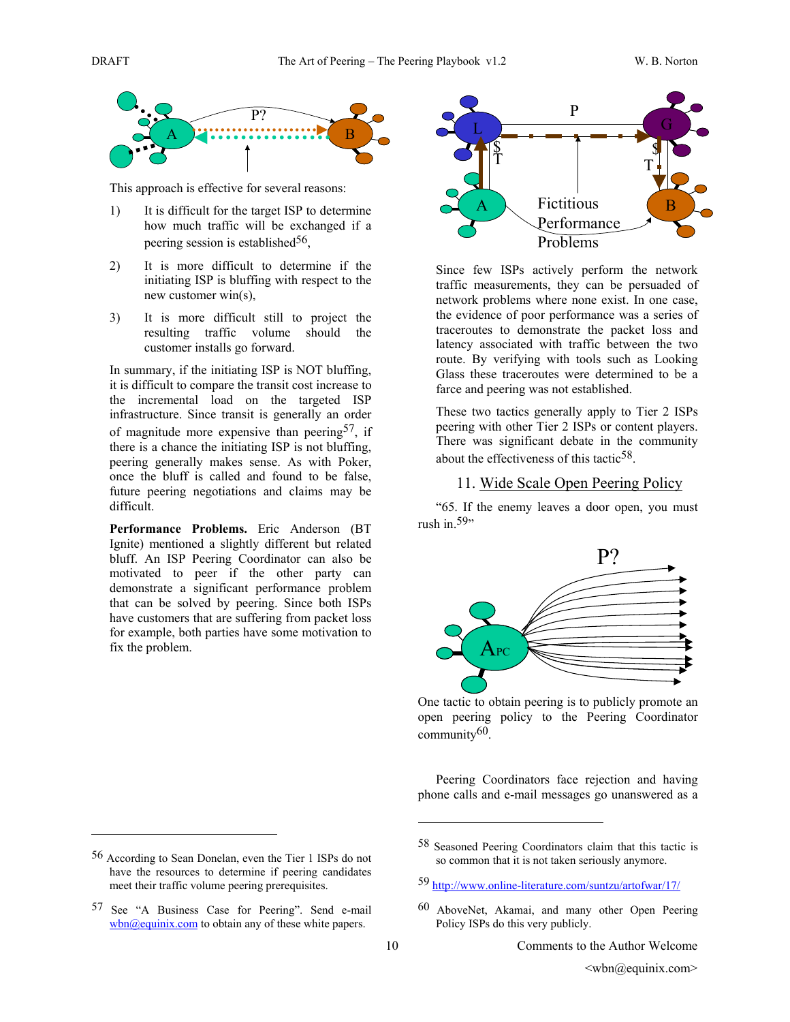

This approach is effective for several reasons:

- 1) It is difficult for the target ISP to determine how much traffic will be exchanged if a peering session is established $56$ ,
- 2) It is more difficult to determine if the initiating ISP is bluffing with respect to the new customer win(s),
- 3) It is more difficult still to project the resulting traffic volume should the customer installs go forward.

In summary, if the initiating ISP is NOT bluffing, it is difficult to compare the transit cost increase to the incremental load on the targeted ISP infrastructure. Since transit is generally an order of magnitude more expensive than peering  $57$ , if there is a chance the initiating ISP is not bluffing, peering generally makes sense. As with Poker, once the bluff is called and found to be false, future peering negotiations and claims may be difficult.

**Performance Problems.** Eric Anderson (BT Ignite) mentioned a slightly different but related bluff. An ISP Peering Coordinator can also be motivated to peer if the other party can demonstrate a significant performance problem that can be solved by peering. Since both ISPs have customers that are suffering from packet loss for example, both parties have some motivation to fix the problem.

 $\overline{a}$ 



Since few ISPs actively perform the network traffic measurements, they can be persuaded of network problems where none exist. In one case, the evidence of poor performance was a series of traceroutes to demonstrate the packet loss and latency associated with traffic between the two route. By verifying with tools such as Looking Glass these traceroutes were determined to be a farce and peering was not established.

These two tactics generally apply to Tier 2 ISPs peering with other Tier 2 ISPs or content players. There was significant debate in the community about the effectiveness of this tactic<sup>58</sup>.

#### 11. Wide Scale Open Peering Policy

"65. If the enemy leaves a door open, you must rush in. $59$ "



One tactic to obtain peering is to publicly promote an open peering policy to the Peering Coordinator community60.

Peering Coordinators face rejection and having phone calls and e-mail messages go unanswered as a

1

<sup>56</sup> According to Sean Donelan, even the Tier 1 ISPs do not have the resources to determine if peering candidates meet their traffic volume peering prerequisites.

<sup>57</sup> See "A Business Case for Peering". Send e-mail  $wbn@equinix.com$  to obtain any of these white papers.

<sup>58</sup> Seasoned Peering Coordinators claim that this tactic is so common that it is not taken seriously anymore.

<sup>59</sup> http://www.online-literature.com/suntzu/artofwar/17/

<sup>60</sup> AboveNet, Akamai, and many other Open Peering Policy ISPs do this very publicly.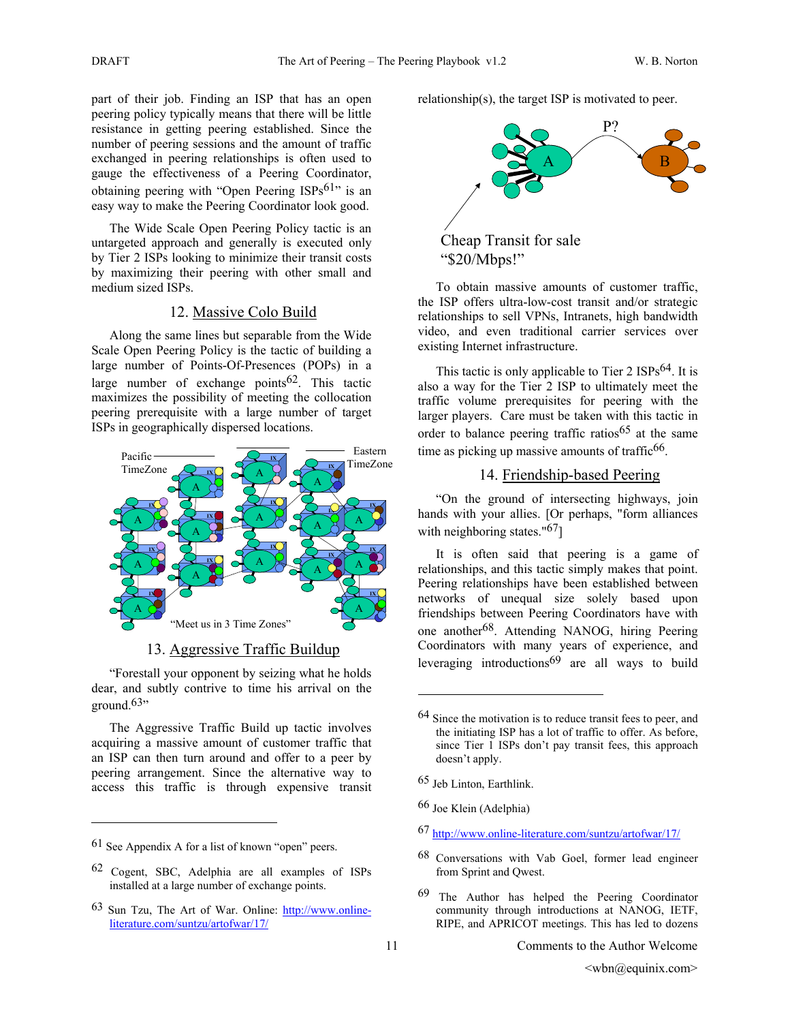part of their job. Finding an ISP that has an open peering policy typically means that there will be little resistance in getting peering established. Since the number of peering sessions and the amount of traffic exchanged in peering relationships is often used to gauge the effectiveness of a Peering Coordinator, obtaining peering with "Open Peering  $ISPs<sup>61</sup>$ " is an easy way to make the Peering Coordinator look good.

The Wide Scale Open Peering Policy tactic is an untargeted approach and generally is executed only by Tier 2 ISPs looking to minimize their transit costs by maximizing their peering with other small and medium sized ISPs.

## 12. Massive Colo Build

Along the same lines but separable from the Wide Scale Open Peering Policy is the tactic of building a large number of Points-Of-Presences (POPs) in a large number of exchange points $62$ . This tactic maximizes the possibility of meeting the collocation peering prerequisite with a large number of target ISPs in geographically dispersed locations.



#### 13. Aggressive Traffic Buildup

"Forestall your opponent by seizing what he holds dear, and subtly contrive to time his arrival on the ground. $63$ "

The Aggressive Traffic Build up tactic involves acquiring a massive amount of customer traffic that an ISP can then turn around and offer to a peer by peering arrangement. Since the alternative way to access this traffic is through expensive transit

 $\overline{a}$ 

relationship(s), the target ISP is motivated to peer.



To obtain massive amounts of customer traffic, the ISP offers ultra-low-cost transit and/or strategic relationships to sell VPNs, Intranets, high bandwidth video, and even traditional carrier services over existing Internet infrastructure.

This tactic is only applicable to Tier 2 ISPs<sup>64</sup>. It is also a way for the Tier 2 ISP to ultimately meet the traffic volume prerequisites for peering with the larger players. Care must be taken with this tactic in order to balance peering traffic ratios<sup>65</sup> at the same time as picking up massive amounts of traffic  $66$ .

## 14. Friendship-based Peering

"On the ground of intersecting highways, join hands with your allies. [Or perhaps, "form alliances with neighboring states."<sup>67</sup>]

It is often said that peering is a game of relationships, and this tactic simply makes that point. Peering relationships have been established between networks of unequal size solely based upon friendships between Peering Coordinators have with one another68. Attending NANOG, hiring Peering Coordinators with many years of experience, and leveraging introductions<sup>69</sup> are all ways to build

 $\overline{a}$ 

66 Joe Klein (Adelphia)

- 67 http://www.online-literature.com/suntzu/artofwar/17/
- 68 Conversations with Vab Goel, former lead engineer from Sprint and Qwest.
- 69 The Author has helped the Peering Coordinator community through introductions at NANOG, IETF, RIPE, and APRICOT meetings. This has led to dozens

<sup>61</sup> See Appendix A for a list of known "open" peers.

<sup>62</sup> Cogent, SBC, Adelphia are all examples of ISPs installed at a large number of exchange points.

<sup>63</sup> Sun Tzu, The Art of War. Online: http://www.onlineliterature.com/suntzu/artofwar/17/

<sup>64</sup> Since the motivation is to reduce transit fees to peer, and the initiating ISP has a lot of traffic to offer. As before, since Tier 1 ISPs don't pay transit fees, this approach doesn't apply.

<sup>65</sup> Jeb Linton, Earthlink.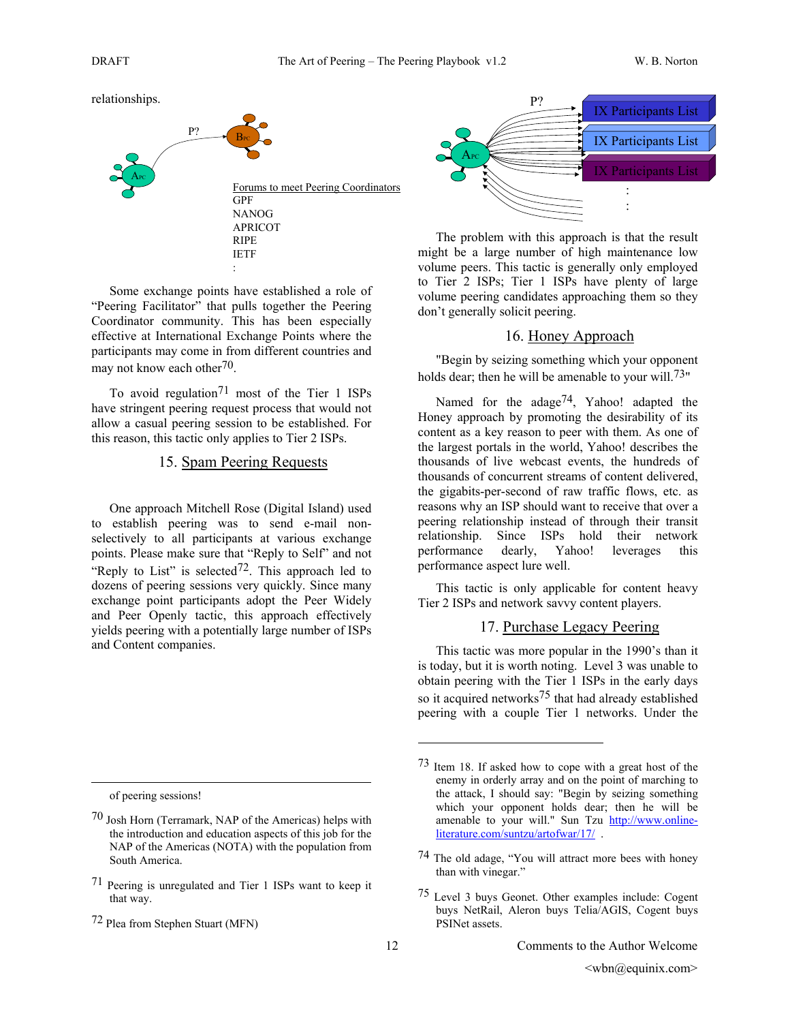relationships.



Some exchange points have established a role of "Peering Facilitator" that pulls together the Peering Coordinator community. This has been especially effective at International Exchange Points where the participants may come in from different countries and may not know each other<sup>70</sup>.

To avoid regulation<sup>71</sup> most of the Tier 1 ISPs have stringent peering request process that would not allow a casual peering session to be established. For this reason, this tactic only applies to Tier 2 ISPs.

## 15. Spam Peering Requests

One approach Mitchell Rose (Digital Island) used to establish peering was to send e-mail nonselectively to all participants at various exchange points. Please make sure that "Reply to Self" and not "Reply to List" is selected  $72$ . This approach led to dozens of peering sessions very quickly. Since many exchange point participants adopt the Peer Widely and Peer Openly tactic, this approach effectively yields peering with a potentially large number of ISPs and Content companies.

of peering sessions!

 $\overline{a}$ 



The problem with this approach is that the result might be a large number of high maintenance low volume peers. This tactic is generally only employed to Tier 2 ISPs; Tier 1 ISPs have plenty of large volume peering candidates approaching them so they don't generally solicit peering.

## 16. Honey Approach

"Begin by seizing something which your opponent holds dear; then he will be amenable to your will.<sup>73"</sup>

Named for the adage<sup>74</sup>, Yahoo! adapted the Honey approach by promoting the desirability of its content as a key reason to peer with them. As one of the largest portals in the world, Yahoo! describes the thousands of live webcast events, the hundreds of thousands of concurrent streams of content delivered, the gigabits-per-second of raw traffic flows, etc. as reasons why an ISP should want to receive that over a peering relationship instead of through their transit relationship. Since ISPs hold their network performance dearly, Yahoo! leverages this performance aspect lure well.

This tactic is only applicable for content heavy Tier 2 ISPs and network savvy content players.

## 17. Purchase Legacy Peering

This tactic was more popular in the 1990's than it is today, but it is worth noting. Level 3 was unable to obtain peering with the Tier 1 ISPs in the early days so it acquired networks<sup>75</sup> that had already established peering with a couple Tier 1 networks. Under the

<sup>70</sup> Josh Horn (Terramark, NAP of the Americas) helps with the introduction and education aspects of this job for the NAP of the Americas (NOTA) with the population from South America.

<sup>71</sup> Peering is unregulated and Tier 1 ISPs want to keep it that way.

<sup>72</sup> Plea from Stephen Stuart (MFN)

<sup>73</sup> Item 18. If asked how to cope with a great host of the enemy in orderly array and on the point of marching to the attack, I should say: "Begin by seizing something which your opponent holds dear; then he will be amenable to your will." Sun Tzu http://www.onlineliterature.com/suntzu/artofwar/17/ .

<sup>74</sup> The old adage, "You will attract more bees with honey than with vinegar."

<sup>75</sup> Level 3 buys Geonet. Other examples include: Cogent buys NetRail, Aleron buys Telia/AGIS, Cogent buys PSINet assets.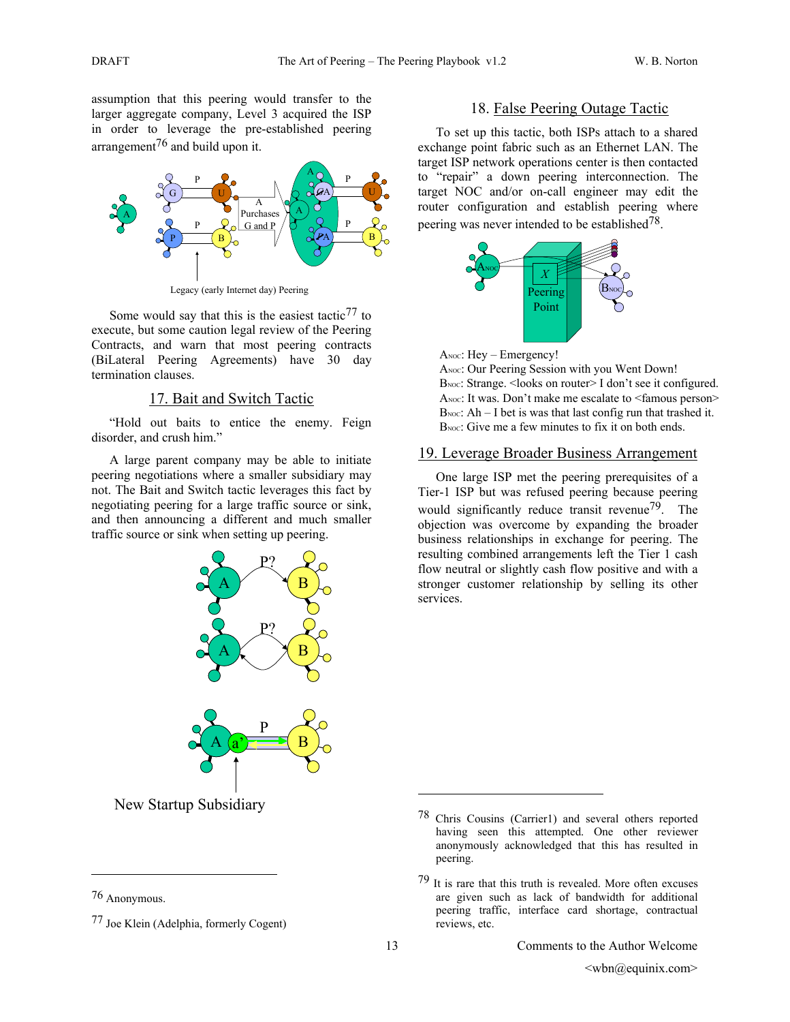assumption that this peering would transfer to the larger aggregate company, Level 3 acquired the ISP in order to leverage the pre-established peering arrangement<sup>76</sup> and build upon it.



Legacy (early Internet day) Peering

Some would say that this is the easiest tactic  $77$  to execute, but some caution legal review of the Peering Contracts, and warn that most peering contracts (BiLateral Peering Agreements) have 30 day termination clauses.

#### 17. Bait and Switch Tactic

"Hold out baits to entice the enemy. Feign disorder, and crush him."

A large parent company may be able to initiate peering negotiations where a smaller subsidiary may not. The Bait and Switch tactic leverages this fact by negotiating peering for a large traffic source or sink, and then announcing a different and much smaller traffic source or sink when setting up peering.



# 18. False Peering Outage Tactic

To set up this tactic, both ISPs attach to a shared exchange point fabric such as an Ethernet LAN. The target ISP network operations center is then contacted to "repair" a down peering interconnection. The target NOC and/or on-call engineer may edit the router configuration and establish peering where peering was never intended to be established  $78$ .



ANOC: Hey - Emergency!

ANOC: Our Peering Session with you Went Down! BNOC: Strange. < looks on router> I don't see it configured. ANOC: It was. Don't make me escalate to <famous person> B<sub>NOC</sub>:  $Ah - I$  bet is was that last config run that trashed it. B<sub>NOC</sub>: Give me a few minutes to fix it on both ends.

## 19. Leverage Broader Business Arrangement

One large ISP met the peering prerequisites of a Tier-1 ISP but was refused peering because peering would significantly reduce transit revenue<sup>79</sup>. The objection was overcome by expanding the broader business relationships in exchange for peering. The resulting combined arrangements left the Tier 1 cash flow neutral or slightly cash flow positive and with a stronger customer relationship by selling its other services.

New Startup Subsidiary

 $\overline{a}$ 

1

<sup>76</sup> Anonymous.

<sup>77</sup> Joe Klein (Adelphia, formerly Cogent)

<sup>78</sup> Chris Cousins (Carrier1) and several others reported having seen this attempted. One other reviewer anonymously acknowledged that this has resulted in peering.

 $79$  It is rare that this truth is revealed. More often excuses are given such as lack of bandwidth for additional peering traffic, interface card shortage, contractual reviews, etc.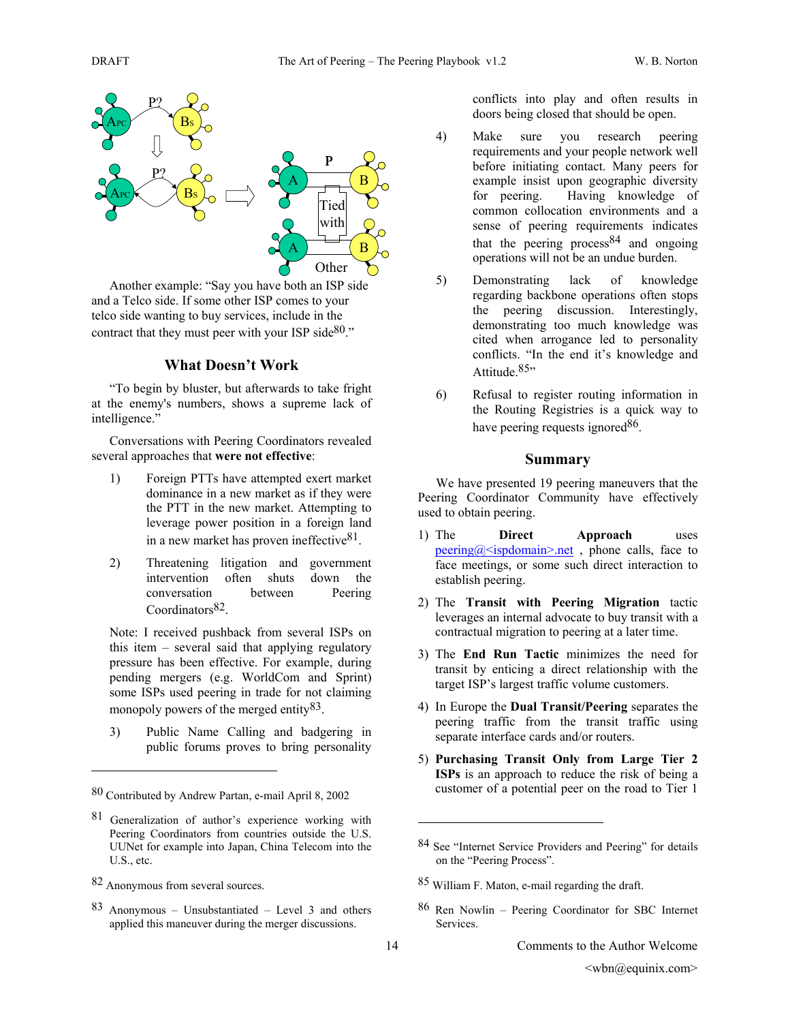

Another example: "Say you have both an ISP side and a Telco side. If some other ISP comes to your telco side wanting to buy services, include in the contract that they must peer with your ISP side $80$ ."

### **What Doesn't Work**

"To begin by bluster, but afterwards to take fright at the enemy's numbers, shows a supreme lack of intelligence."

Conversations with Peering Coordinators revealed several approaches that **were not effective**:

- 1) Foreign PTTs have attempted exert market dominance in a new market as if they were the PTT in the new market. Attempting to leverage power position in a foreign land in a new market has proven ineffective $81$ .
- 2) Threatening litigation and government intervention often shuts down the conversation between Peering Coordinators<sup>82</sup>.

Note: I received pushback from several ISPs on this item – several said that applying regulatory pressure has been effective. For example, during pending mergers (e.g. WorldCom and Sprint) some ISPs used peering in trade for not claiming monopoly powers of the merged entity<sup>83</sup>.

3) Public Name Calling and badgering in public forums proves to bring personality

 $\overline{a}$ 

83 Anonymous – Unsubstantiated – Level 3 and others applied this maneuver during the merger discussions.

conflicts into play and often results in doors being closed that should be open.

- 4) Make sure you research peering requirements and your people network well before initiating contact. Many peers for example insist upon geographic diversity for peering. Having knowledge of common collocation environments and a sense of peering requirements indicates that the peering process  $84$  and ongoing operations will not be an undue burden.
- 5) Demonstrating lack of knowledge regarding backbone operations often stops the peering discussion. Interestingly, demonstrating too much knowledge was cited when arrogance led to personality conflicts. "In the end it's knowledge and Attitude 85"
- 6) Refusal to register routing information in the Routing Registries is a quick way to have peering requests ignored<sup>86</sup>.

#### **Summary**

We have presented 19 peering maneuvers that the Peering Coordinator Community have effectively used to obtain peering.

- 1) The **Direct Approach** uses  $\frac{\text{pering}(a)}{\text{sigmoid}(a)}$  ispdomain>.net, phone calls, face to face meetings, or some such direct interaction to establish peering.
- 2) The **Transit with Peering Migration** tactic leverages an internal advocate to buy transit with a contractual migration to peering at a later time.
- 3) The **End Run Tactic** minimizes the need for transit by enticing a direct relationship with the target ISP's largest traffic volume customers.
- 4) In Europe the **Dual Transit/Peering** separates the peering traffic from the transit traffic using separate interface cards and/or routers.
- 5) **Purchasing Transit Only from Large Tier 2 ISPs** is an approach to reduce the risk of being a customer of a potential peer on the road to Tier 1

- 85 William F. Maton, e-mail regarding the draft.
- 86 Ren Nowlin Peering Coordinator for SBC Internet Services.

1

<sup>80</sup> Contributed by Andrew Partan, e-mail April 8, 2002

<sup>81</sup> Generalization of author's experience working with Peering Coordinators from countries outside the U.S. UUNet for example into Japan, China Telecom into the U.S., etc.

<sup>82</sup> Anonymous from several sources.

<sup>84</sup> See "Internet Service Providers and Peering" for details on the "Peering Process".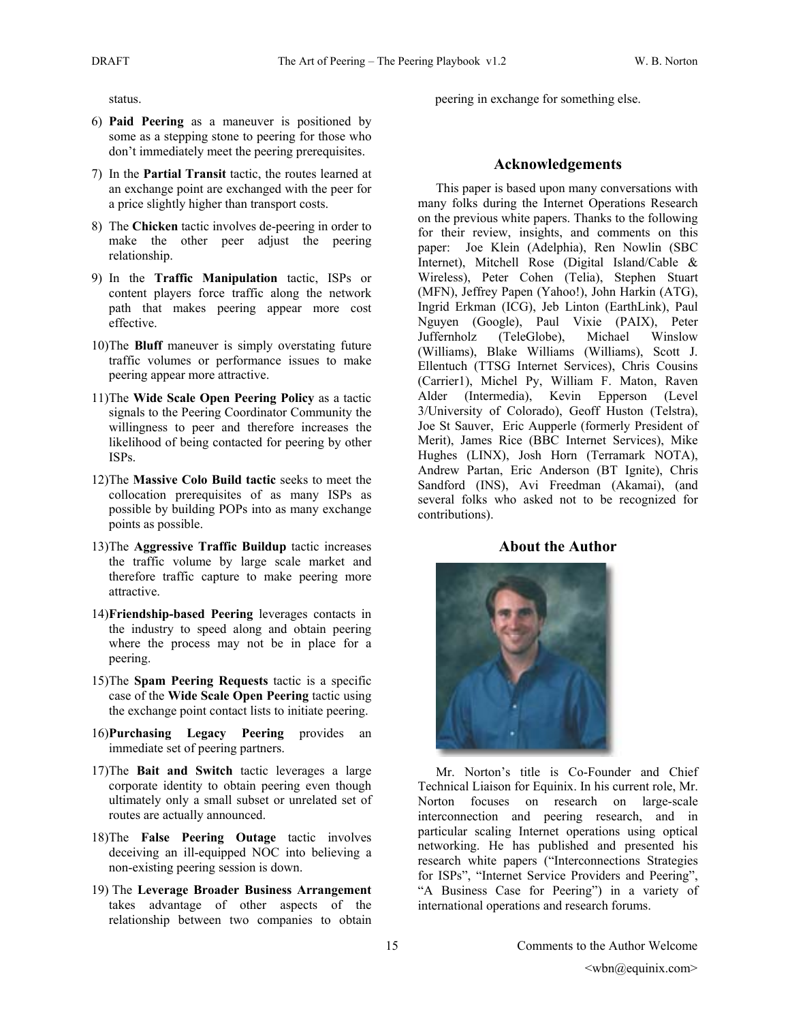status.

- 6) **Paid Peering** as a maneuver is positioned by some as a stepping stone to peering for those who don't immediately meet the peering prerequisites.
- 7) In the **Partial Transit** tactic, the routes learned at an exchange point are exchanged with the peer for a price slightly higher than transport costs.
- 8) The **Chicken** tactic involves de-peering in order to make the other peer adjust the peering relationship.
- 9) In the **Traffic Manipulation** tactic, ISPs or content players force traffic along the network path that makes peering appear more cost effective.
- 10)The **Bluff** maneuver is simply overstating future traffic volumes or performance issues to make peering appear more attractive.
- 11)The **Wide Scale Open Peering Policy** as a tactic signals to the Peering Coordinator Community the willingness to peer and therefore increases the likelihood of being contacted for peering by other ISPs.
- 12)The **Massive Colo Build tactic** seeks to meet the collocation prerequisites of as many ISPs as possible by building POPs into as many exchange points as possible.
- 13)The **Aggressive Traffic Buildup** tactic increases the traffic volume by large scale market and therefore traffic capture to make peering more attractive.
- 14)**Friendship-based Peering** leverages contacts in the industry to speed along and obtain peering where the process may not be in place for a peering.
- 15)The **Spam Peering Requests** tactic is a specific case of the **Wide Scale Open Peering** tactic using the exchange point contact lists to initiate peering.
- 16)**Purchasing Legacy Peering** provides an immediate set of peering partners.
- 17)The **Bait and Switch** tactic leverages a large corporate identity to obtain peering even though ultimately only a small subset or unrelated set of routes are actually announced.
- 18)The **False Peering Outage** tactic involves deceiving an ill-equipped NOC into believing a non-existing peering session is down.
- 19) The **Leverage Broader Business Arrangement** takes advantage of other aspects of the relationship between two companies to obtain

peering in exchange for something else.

#### **Acknowledgements**

This paper is based upon many conversations with many folks during the Internet Operations Research on the previous white papers. Thanks to the following for their review, insights, and comments on this paper: Joe Klein (Adelphia), Ren Nowlin (SBC Internet), Mitchell Rose (Digital Island/Cable & Wireless), Peter Cohen (Telia), Stephen Stuart (MFN), Jeffrey Papen (Yahoo!), John Harkin (ATG), Ingrid Erkman (ICG), Jeb Linton (EarthLink), Paul Nguyen (Google), Paul Vixie (PAIX), Peter Juffernholz (TeleGlobe), Michael Winslow (Williams), Blake Williams (Williams), Scott J. Ellentuch (TTSG Internet Services), Chris Cousins (Carrier1), Michel Py, William F. Maton, Raven Alder (Intermedia), Kevin Epperson (Level 3/University of Colorado), Geoff Huston (Telstra), Joe St Sauver, Eric Aupperle (formerly President of Merit), James Rice (BBC Internet Services), Mike Hughes (LINX), Josh Horn (Terramark NOTA), Andrew Partan, Eric Anderson (BT Ignite), Chris Sandford (INS), Avi Freedman (Akamai), (and several folks who asked not to be recognized for contributions).

#### **About the Author**



Mr. Norton's title is Co-Founder and Chief Technical Liaison for Equinix. In his current role, Mr. Norton focuses on research on large-scale interconnection and peering research, and in particular scaling Internet operations using optical networking. He has published and presented his research white papers ("Interconnections Strategies for ISPs", "Internet Service Providers and Peering", "A Business Case for Peering") in a variety of international operations and research forums.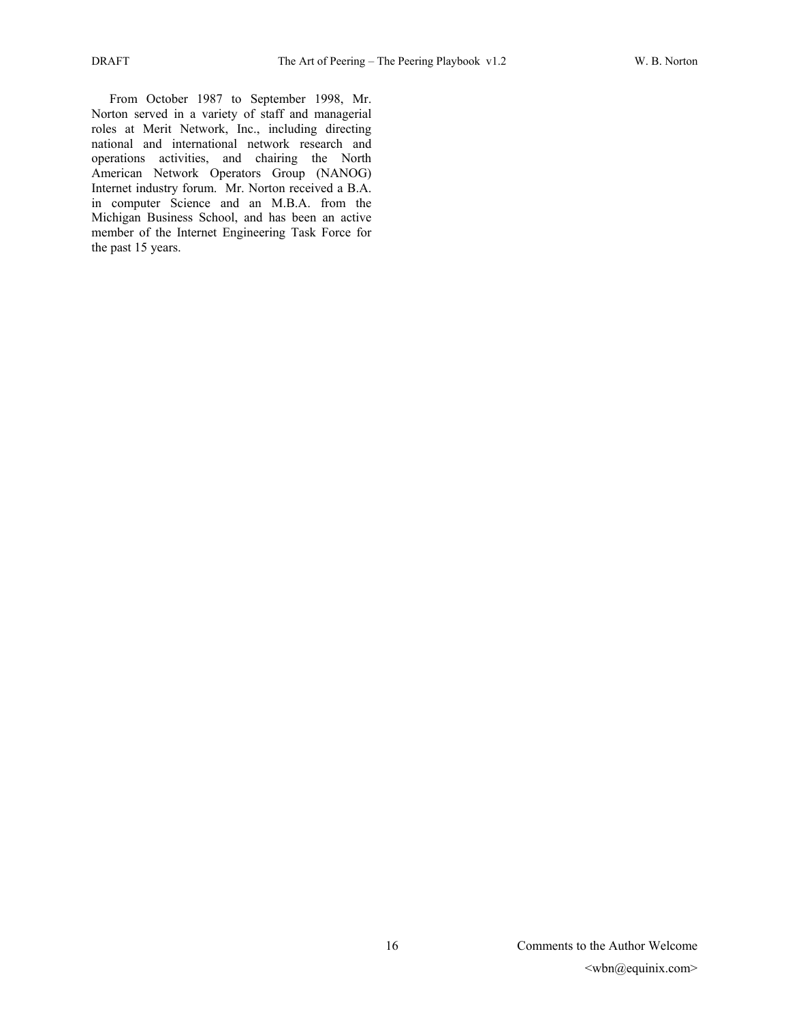From October 1987 to September 1998, Mr. Norton served in a variety of staff and managerial roles at Merit Network, Inc., including directing national and international network research and operations activities, and chairing the North American Network Operators Group (NANOG) Internet industry forum. Mr. Norton received a B.A. in computer Science and an M.B.A. from the Michigan Business School, and has been an active member of the Internet Engineering Task Force for the past 15 years.